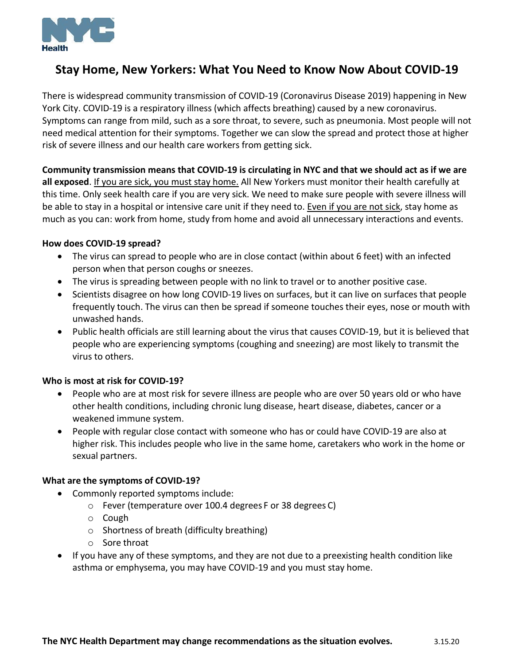

# **Stay Home, New Yorkers: What You Need to Know Now About COVID-19**

There is widespread community transmission of COVID-19 (Coronavirus Disease 2019) happening in New York City. COVID-19 is a respiratory illness (which affects breathing) caused by a new coronavirus. Symptoms can range from mild, such as a sore throat, to severe, such as pneumonia. Most people will not need medical attention for their symptoms. Together we can slow the spread and protect those at higher risk of severe illness and our health care workers from getting sick.

**Community transmission means that COVID-19 is circulating in NYC and that we should act as if we are all exposed**. If you are sick, you must stay home. All New Yorkers must monitor their health carefully at this time. Only seek health care if you are very sick. We need to make sure people with severe illness will be able to stay in a hospital or intensive care unit if they need to. Even if you are not sick, stay home as much as you can: work from home, study from home and avoid all unnecessary interactions and events.

#### **How does COVID-19 spread?**

- The virus can spread to people who are in close contact (within about 6 feet) with an infected person when that person coughs or sneezes.
- The virus is spreading between people with no link to travel or to another positive case.
- Scientists disagree on how long COVID-19 lives on surfaces, but it can live on surfaces that people frequently touch. The virus can then be spread if someone touches their eyes, nose or mouth with unwashed hands.
- Public health officials are still learning about the virus that causes COVID-19, but it is believed that people who are experiencing symptoms (coughing and sneezing) are most likely to transmit the virus to others.

#### **Who is most at risk for COVID-19?**

- People who are at most risk for severe illness are people who are over 50 years old or who have other health conditions, including chronic lung disease, heart disease, diabetes, cancer or a weakened immune system.
- People with regular close contact with someone who has or could have COVID-19 are also at higher risk. This includes people who live in the same home, caretakers who work in the home or sexual partners.

#### **What are the symptoms of COVID-19?**

- Commonly reported symptoms include:
	- o Fever (temperature over 100.4 degrees F or 38 degrees C)
	- o Cough
	- o Shortness of breath (difficulty breathing)
	- o Sore throat
- If you have any of these symptoms, and they are not due to a preexisting health condition like asthma or emphysema, you may have COVID-19 and you must stay home.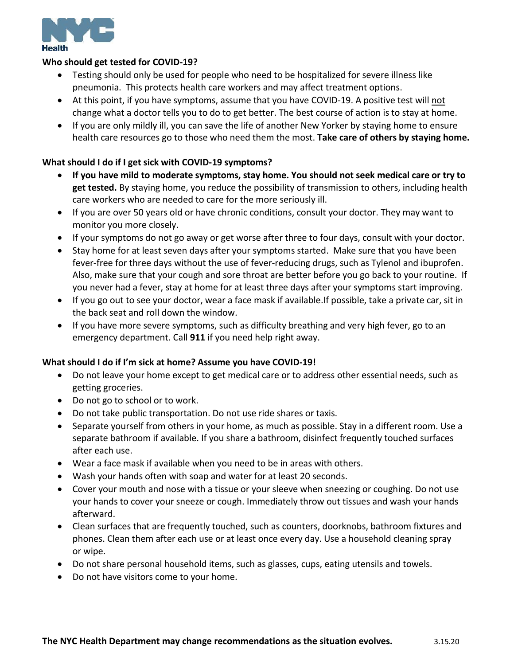

#### **Who should get tested for COVID-19?**

- Testing should only be used for people who need to be hospitalized for severe illness like pneumonia. This protects health care workers and may affect treatment options.
- At this point, if you have symptoms, assume that you have COVID-19. A positive test will not change what a doctor tells you to do to get better. The best course of action is to stay at home.
- If you are only mildly ill, you can save the life of another New Yorker by staying home to ensure health care resources go to those who need them the most. **Take care of others by staying home.**

## **What should I do if I get sick with COVID-19 symptoms?**

- **If you have mild to moderate symptoms, stay home. You should not seek medical care or try to get tested.** By staying home, you reduce the possibility of transmission to others, including health care workers who are needed to care for the more seriously ill.
- If you are over 50 years old or have chronic conditions, consult your doctor. They may want to monitor you more closely.
- If your symptoms do not go away or get worse after three to four days, consult with your doctor.
- Stay home for at least seven days after your symptoms started. Make sure that you have been fever-free for three days without the use of fever-reducing drugs, such as Tylenol and ibuprofen. Also, make sure that your cough and sore throat are better before you go back to your routine. If you never had a fever, stay at home for at least three days after your symptoms start improving.
- If you go out to see your doctor, wear a face mask if available.If possible, take a private car, sit in the back seat and roll down the window.
- If you have more severe symptoms, such as difficulty breathing and very high fever, go to an emergency department. Call **911** if you need help right away.

### **What should I do if I'm sick at home? Assume you have COVID-19!**

- Do not leave your home except to get medical care or to address other essential needs, such as getting groceries.
- Do not go to school or to work.
- Do not take public transportation. Do not use ride shares or taxis.
- Separate yourself from others in your home, as much as possible. Stay in a different room. Use a separate bathroom if available. If you share a bathroom, disinfect frequently touched surfaces after each use.
- Wear a face mask if available when you need to be in areas with others.
- Wash your hands often with soap and water for at least 20 seconds.
- Cover your mouth and nose with a tissue or your sleeve when sneezing or coughing. Do not use your hands to cover your sneeze or cough. Immediately throw out tissues and wash your hands afterward.
- Clean surfaces that are frequently touched, such as counters, doorknobs, bathroom fixtures and phones. Clean them after each use or at least once every day. Use a household cleaning spray or wipe.
- Do not share personal household items, such as glasses, cups, eating utensils and towels.
- Do not have visitors come to your home.